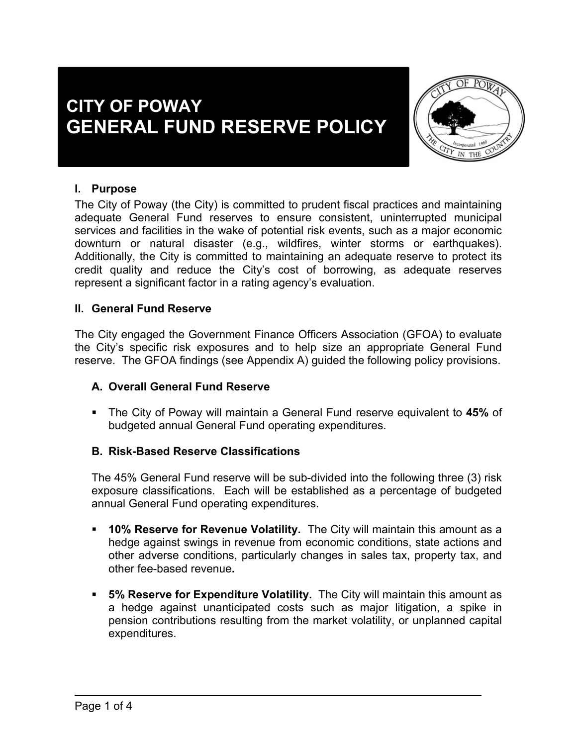# **CITY OF POWAY GENERAL FUND RESERVE POLICY**



### **I. Purpose**

The City of Poway (the City) is committed to prudent fiscal practices and maintaining adequate General Fund reserves to ensure consistent, uninterrupted municipal services and facilities in the wake of potential risk events, such as a major economic downturn or natural disaster (e.g., wildfires, winter storms or earthquakes). Additionally, the City is committed to maintaining an adequate reserve to protect its credit quality and reduce the City's cost of borrowing, as adequate reserves represent a significant factor in a rating agency's evaluation.

#### **II. General Fund Reserve**

The City engaged the Government Finance Officers Association (GFOA) to evaluate the City's specific risk exposures and to help size an appropriate General Fund reserve. The GFOA findings (see Appendix A) guided the following policy provisions.

#### **A. Overall General Fund Reserve**

 The City of Poway will maintain a General Fund reserve equivalent to **45%** of budgeted annual General Fund operating expenditures.

#### **B. Risk-Based Reserve Classifications**

The 45% General Fund reserve will be sub-divided into the following three (3) risk exposure classifications. Each will be established as a percentage of budgeted annual General Fund operating expenditures.

- **10% Reserve for Revenue Volatility.** The City will maintain this amount as a hedge against swings in revenue from economic conditions, state actions and other adverse conditions, particularly changes in sales tax, property tax, and other fee-based revenue**.**
- **5% Reserve for Expenditure Volatility.** The City will maintain this amount as a hedge against unanticipated costs such as major litigation, a spike in pension contributions resulting from the market volatility, or unplanned capital expenditures.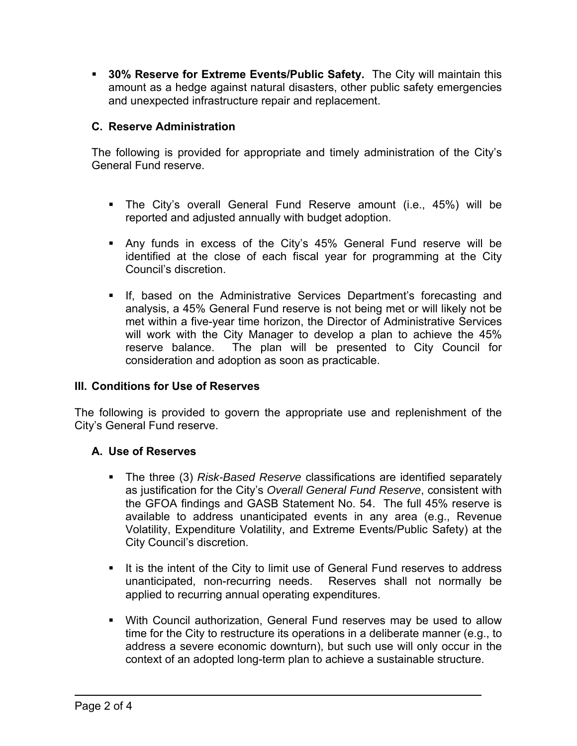**30% Reserve for Extreme Events/Public Safety.** The City will maintain this amount as a hedge against natural disasters, other public safety emergencies and unexpected infrastructure repair and replacement.

#### **C. Reserve Administration**

The following is provided for appropriate and timely administration of the City's General Fund reserve.

- The City's overall General Fund Reserve amount (i.e., 45%) will be reported and adjusted annually with budget adoption.
- Any funds in excess of the City's 45% General Fund reserve will be identified at the close of each fiscal year for programming at the City Council's discretion.
- **If, based on the Administrative Services Department's forecasting and** analysis, a 45% General Fund reserve is not being met or will likely not be met within a five-year time horizon, the Director of Administrative Services will work with the City Manager to develop a plan to achieve the 45% reserve balance. The plan will be presented to City Council for consideration and adoption as soon as practicable.

#### **III. Conditions for Use of Reserves**

The following is provided to govern the appropriate use and replenishment of the City's General Fund reserve.

## **A. Use of Reserves**

- **The three (3)** *Risk-Based Reserve* classifications are identified separately as justification for the City's *Overall General Fund Reserve*, consistent with the GFOA findings and GASB Statement No. 54. The full 45% reserve is available to address unanticipated events in any area (e.g., Revenue Volatility, Expenditure Volatility, and Extreme Events/Public Safety) at the City Council's discretion.
- It is the intent of the City to limit use of General Fund reserves to address unanticipated, non-recurring needs. Reserves shall not normally be applied to recurring annual operating expenditures.
- With Council authorization, General Fund reserves may be used to allow time for the City to restructure its operations in a deliberate manner (e.g., to address a severe economic downturn), but such use will only occur in the context of an adopted long-term plan to achieve a sustainable structure.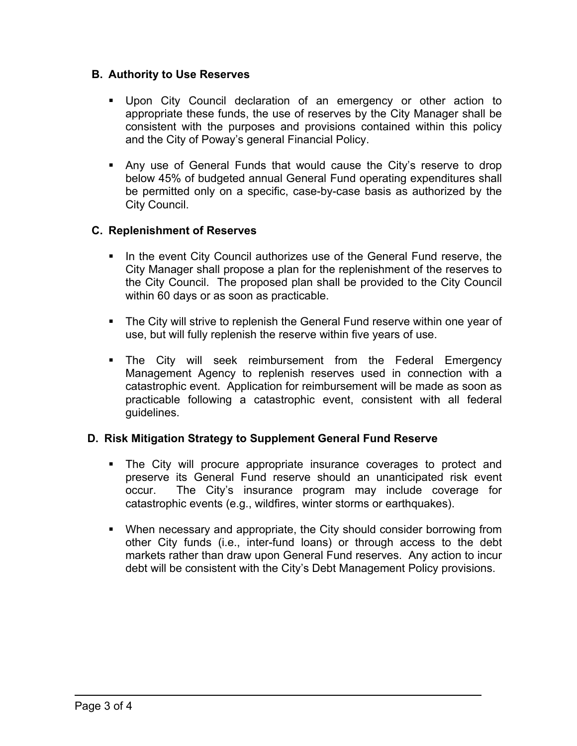#### **B. Authority to Use Reserves**

- Upon City Council declaration of an emergency or other action to appropriate these funds, the use of reserves by the City Manager shall be consistent with the purposes and provisions contained within this policy and the City of Poway's general Financial Policy.
- Any use of General Funds that would cause the City's reserve to drop below 45% of budgeted annual General Fund operating expenditures shall be permitted only on a specific, case-by-case basis as authorized by the City Council.

#### **C. Replenishment of Reserves**

- In the event City Council authorizes use of the General Fund reserve, the City Manager shall propose a plan for the replenishment of the reserves to the City Council. The proposed plan shall be provided to the City Council within 60 days or as soon as practicable.
- The City will strive to replenish the General Fund reserve within one year of use, but will fully replenish the reserve within five years of use.
- The City will seek reimbursement from the Federal Emergency Management Agency to replenish reserves used in connection with a catastrophic event. Application for reimbursement will be made as soon as practicable following a catastrophic event, consistent with all federal guidelines.

#### **D. Risk Mitigation Strategy to Supplement General Fund Reserve**

- The City will procure appropriate insurance coverages to protect and preserve its General Fund reserve should an unanticipated risk event occur. The City's insurance program may include coverage for catastrophic events (e.g., wildfires, winter storms or earthquakes).
- When necessary and appropriate, the City should consider borrowing from other City funds (i.e., inter-fund loans) or through access to the debt markets rather than draw upon General Fund reserves. Any action to incur debt will be consistent with the City's Debt Management Policy provisions.